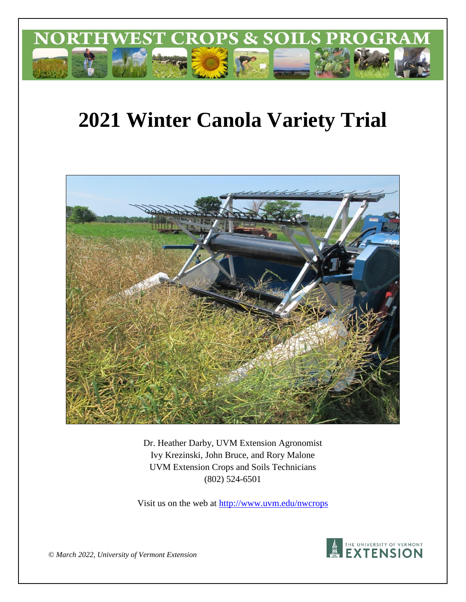

# **2021 Winter Canola Variety Trial**



Dr. Heather Darby, UVM Extension Agronomist Ivy Krezinski, John Bruce, and Rory Malone UVM Extension Crops and Soils Technicians (802) 524-6501

Visit us on the web at<http://www.uvm.edu/nwcrops>



*© March 2022, University of Vermont Extension*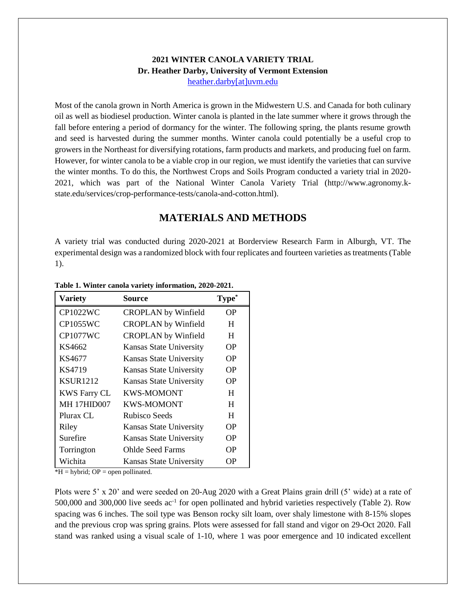#### **2021 WINTER CANOLA VARIETY TRIAL Dr. Heather Darby, University of Vermont Extension** [heather.darby\[at\]uvm.edu](mailto:heather.darby@uvm.edu?subject=2013%20Sunflower%20Reduced%20Tillage%20Trial)

Most of the canola grown in North America is grown in the Midwestern U.S. and Canada for both culinary oil as well as biodiesel production. Winter canola is planted in the late summer where it grows through the fall before entering a period of dormancy for the winter. The following spring, the plants resume growth and seed is harvested during the summer months. Winter canola could potentially be a useful crop to growers in the Northeast for diversifying rotations, farm products and markets, and producing fuel on farm. However, for winter canola to be a viable crop in our region, we must identify the varieties that can survive the winter months. To do this, the Northwest Crops and Soils Program conducted a variety trial in 2020- 2021, which was part of the National Winter Canola Variety Trial (http://www.agronomy.kstate.edu/services/crop-performance-tests/canola-and-cotton.html).

### **MATERIALS AND METHODS**

A variety trial was conducted during 2020-2021 at Borderview Research Farm in Alburgh, VT. The experimental design was a randomized block with four replicates and fourteen varieties as treatments (Table 1).

| <b>Variety</b>      | Source                     | <b>Type</b> |
|---------------------|----------------------------|-------------|
| <b>CP1022WC</b>     | <b>CROPLAN</b> by Winfield | OР          |
| <b>CP1055WC</b>     | <b>CROPLAN</b> by Winfield | H           |
| <b>CP1077WC</b>     | <b>CROPLAN</b> by Winfield | H           |
| KS4662              | Kansas State University    | OΡ          |
| KS4677              | Kansas State University    | OΡ          |
| KS4719              | Kansas State University    | OР          |
| <b>KSUR1212</b>     | Kansas State University    | OΡ          |
| <b>KWS Farry CL</b> | <b>KWS-MOMONT</b>          | H           |
| <b>MH 17HID007</b>  | <b>KWS-MOMONT</b>          | H           |
| Plurax CL           | Rubisco Seeds              | H           |
| Riley               | Kansas State University    | OР          |
| Surefire            | Kansas State University    | OР          |
| Torrington          | <b>Ohlde Seed Farms</b>    | OР          |
| Wichita             | Kansas State University    | OΡ          |

**Table 1. Winter canola variety information, 2020-2021.**

 $*H = hybrid$ ; OP = open pollinated.

Plots were 5' x 20' and were seeded on 20-Aug 2020 with a Great Plains grain drill (5' wide) at a rate of 500,000 and 300,000 live seeds ac<sup>-1</sup> for open pollinated and hybrid varieties respectively (Table 2). Row spacing was 6 inches. The soil type was Benson rocky silt loam, over shaly limestone with 8-15% slopes and the previous crop was spring grains. Plots were assessed for fall stand and vigor on 29-Oct 2020. Fall stand was ranked using a visual scale of 1-10, where 1 was poor emergence and 10 indicated excellent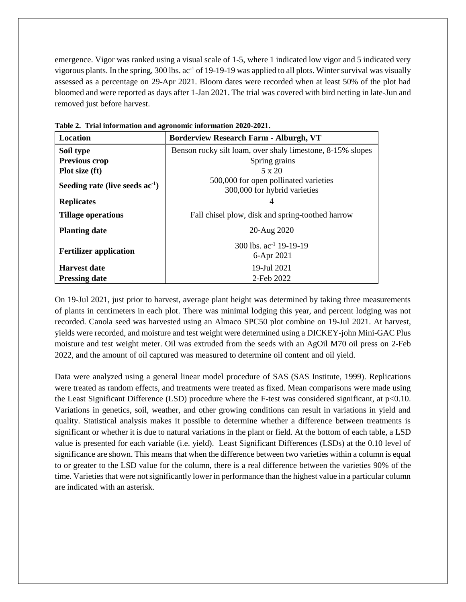emergence. Vigor was ranked using a visual scale of 1-5, where 1 indicated low vigor and 5 indicated very vigorous plants. In the spring, 300 lbs. ac-1 of 19-19-19 was applied to all plots. Winter survival was visually assessed as a percentage on 29-Apr 2021. Bloom dates were recorded when at least 50% of the plot had bloomed and were reported as days after 1-Jan 2021. The trial was covered with bird netting in late-Jun and removed just before harvest.

| Location                          | <b>Borderview Research Farm - Alburgh, VT</b>                         |  |  |  |  |  |  |
|-----------------------------------|-----------------------------------------------------------------------|--|--|--|--|--|--|
| Soil type                         | Benson rocky silt loam, over shaly limestone, 8-15% slopes            |  |  |  |  |  |  |
| <b>Previous crop</b>              | Spring grains                                                         |  |  |  |  |  |  |
| Plot size (ft)                    | $5 \times 20$                                                         |  |  |  |  |  |  |
| Seeding rate (live seeds $ac-1$ ) | 500,000 for open pollinated varieties<br>300,000 for hybrid varieties |  |  |  |  |  |  |
| <b>Replicates</b>                 |                                                                       |  |  |  |  |  |  |
| <b>Tillage operations</b>         | Fall chisel plow, disk and spring-toothed harrow                      |  |  |  |  |  |  |
| <b>Planting date</b>              | 20-Aug 2020                                                           |  |  |  |  |  |  |
| <b>Fertilizer application</b>     | 300 lbs. $ac^{-1}$ 19-19-19<br>6-Apr 2021                             |  |  |  |  |  |  |
| <b>Harvest date</b>               | 19-Jul 2021                                                           |  |  |  |  |  |  |
| <b>Pressing date</b>              | 2-Feb 2022                                                            |  |  |  |  |  |  |

**Table 2. Trial information and agronomic information 2020-2021.**

On 19-Jul 2021, just prior to harvest, average plant height was determined by taking three measurements of plants in centimeters in each plot. There was minimal lodging this year, and percent lodging was not recorded. Canola seed was harvested using an Almaco SPC50 plot combine on 19-Jul 2021. At harvest, yields were recorded, and moisture and test weight were determined using a DICKEY-john Mini-GAC Plus moisture and test weight meter. Oil was extruded from the seeds with an AgOil M70 oil press on 2-Feb 2022, and the amount of oil captured was measured to determine oil content and oil yield.

Data were analyzed using a general linear model procedure of SAS (SAS Institute, 1999). Replications were treated as random effects, and treatments were treated as fixed. Mean comparisons were made using the Least Significant Difference (LSD) procedure where the F-test was considered significant, at p<0.10. Variations in genetics, soil, weather, and other growing conditions can result in variations in yield and quality. Statistical analysis makes it possible to determine whether a difference between treatments is significant or whether it is due to natural variations in the plant or field. At the bottom of each table, a LSD value is presented for each variable (i.e. yield). Least Significant Differences (LSDs) at the 0.10 level of significance are shown. This means that when the difference between two varieties within a column is equal to or greater to the LSD value for the column, there is a real difference between the varieties 90% of the time. Varieties that were not significantly lower in performance than the highest value in a particular column are indicated with an asterisk.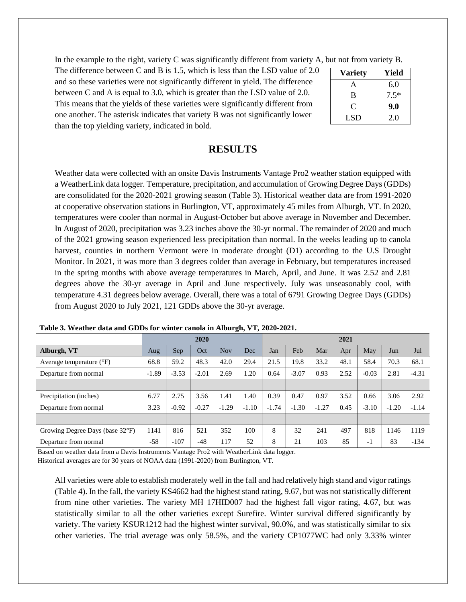In the example to the right, variety C was significantly different from variety A, but not from variety B.

The difference between C and B is 1.5, which is less than the LSD value of 2.0 and so these varieties were not significantly different in yield. The difference between C and A is equal to 3.0, which is greater than the LSD value of 2.0. This means that the yields of these varieties were significantly different from one another. The asterisk indicates that variety B was not significantly lower than the top yielding variety, indicated in bold.

| <b>Variety</b> | Yield  |
|----------------|--------|
| A              | 6.0    |
| B              | $7.5*$ |
| C              | 9.0    |
| LSD            | 2.0    |

#### **RESULTS**

Weather data were collected with an onsite Davis Instruments Vantage Pro2 weather station equipped with a WeatherLink data logger. Temperature, precipitation, and accumulation of Growing Degree Days (GDDs) are consolidated for the 2020-2021 growing season (Table 3). Historical weather data are from 1991-2020 at cooperative observation stations in Burlington, VT, approximately 45 miles from Alburgh, VT. In 2020, temperatures were cooler than normal in August-October but above average in November and December. In August of 2020, precipitation was 3.23 inches above the 30-yr normal. The remainder of 2020 and much of the 2021 growing season experienced less precipitation than normal. In the weeks leading up to canola harvest, counties in northern Vermont were in moderate drought (D1) according to the U.S Drought Monitor. In 2021, it was more than 3 degrees colder than average in February, but temperatures increased in the spring months with above average temperatures in March, April, and June. It was 2.52 and 2.81 degrees above the 30-yr average in April and June respectively. July was unseasonably cool, with temperature 4.31 degrees below average. Overall, there was a total of 6791 Growing Degree Days (GDDs) from August 2020 to July 2021, 121 GDDs above the 30-yr average.

|                                   | 2020    |         |         |            | 2021    |         |         |         |      |         |         |         |
|-----------------------------------|---------|---------|---------|------------|---------|---------|---------|---------|------|---------|---------|---------|
| Alburgh, VT                       | Aug     | Sep.    | Oct     | <b>Nov</b> | Dec     | Jan     | Feb     | Mar     | Apr  | May     | Jun     | Jul     |
| Average temperature $(^{\circ}F)$ | 68.8    | 59.2    | 48.3    | 42.0       | 29.4    | 21.5    | 19.8    | 33.2    | 48.1 | 58.4    | 70.3    | 68.1    |
| Departure from normal             | $-1.89$ | $-3.53$ | $-2.01$ | 2.69       | 1.20    | 0.64    | $-3.07$ | 0.93    | 2.52 | $-0.03$ | 2.81    | $-4.31$ |
|                                   |         |         |         |            |         |         |         |         |      |         |         |         |
| Precipitation (inches)            | 6.77    | 2.75    | 3.56    | 1.41       | 1.40    | 0.39    | 0.47    | 0.97    | 3.52 | 0.66    | 3.06    | 2.92    |
| Departure from normal             | 3.23    | $-0.92$ | $-0.27$ | $-1.29$    | $-1.10$ | $-1.74$ | $-1.30$ | $-1.27$ | 0.45 | $-3.10$ | $-1.20$ | $-1.14$ |
|                                   |         |         |         |            |         |         |         |         |      |         |         |         |
| Growing Degree Days (base 32°F)   | 141     | 816     | 521     | 352        | 100     | 8       | 32      | 241     | 497  | 818     | 1146    | 1119    |
| Departure from normal             | $-58$   | $-107$  | $-48$   | 17         | 52      | 8       | 21      | 103     | 85   | -1      | 83      | $-134$  |

**Table 3. Weather data and GDDs for winter canola in Alburgh, VT, 2020-2021.**

Based on weather data from a Davis Instruments Vantage Pro2 with WeatherLink data logger. Historical averages are for 30 years of NOAA data (1991-2020) from Burlington, VT.

All varieties were able to establish moderately well in the fall and had relatively high stand and vigor ratings (Table 4). In the fall, the variety KS4662 had the highest stand rating, 9.67, but was not statistically different from nine other varieties. The variety MH 17HID007 had the highest fall vigor rating, 4.67, but was statistically similar to all the other varieties except Surefire. Winter survival differed significantly by variety. The variety KSUR1212 had the highest winter survival, 90.0%, and was statistically similar to six other varieties. The trial average was only 58.5%, and the variety CP1077WC had only 3.33% winter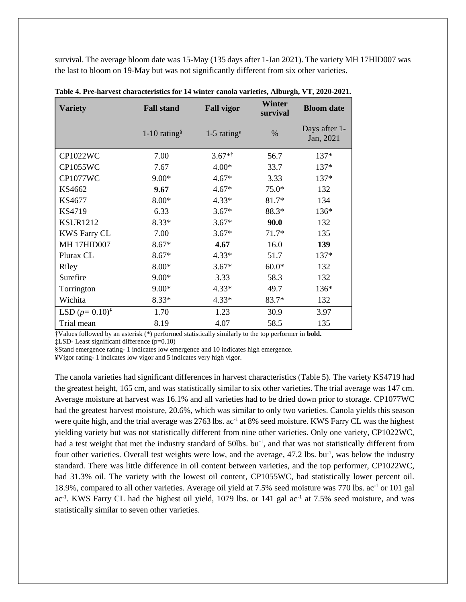survival. The average bloom date was 15-May (135 days after 1-Jan 2021). The variety MH 17HID007 was the last to bloom on 19-May but was not significantly different from six other varieties.

| <b>Variety</b>      | <b>Fall stand</b>          | <b>Fall vigor</b>                                | <b>Winter</b><br>survival | <b>Bloom</b> date          |  |
|---------------------|----------------------------|--------------------------------------------------|---------------------------|----------------------------|--|
|                     | $1-10$ rating <sup>§</sup> | $1-5$ rating <sup><math>\frac{9}{2}</math></sup> | $\%$                      | Days after 1-<br>Jan, 2021 |  |
| <b>CP1022WC</b>     | 7.00                       | $3.67**$                                         | 56.7                      | $137*$                     |  |
| <b>CP1055WC</b>     | 7.67                       | $4.00*$                                          | 33.7                      | $137*$                     |  |
| <b>CP1077WC</b>     | $9.00*$                    | $4.67*$                                          | 3.33                      | 137*                       |  |
| KS4662              | 9.67                       | $4.67*$                                          | $75.0*$                   | 132                        |  |
| KS4677              | $8.00*$                    | $4.33*$                                          | $81.7*$                   | 134                        |  |
| KS4719              | 6.33                       | $3.67*$                                          | 88.3*                     | 136*                       |  |
| <b>KSUR1212</b>     | $8.33*$                    | $3.67*$                                          | 90.0                      | 132                        |  |
| <b>KWS Farry CL</b> | 7.00                       | $3.67*$                                          | $71.7*$                   | 135                        |  |
| <b>MH 17HID007</b>  | $8.67*$                    | 4.67                                             | 16.0                      | 139                        |  |
| Plurax CL           | $8.67*$                    | $4.33*$                                          | 51.7                      | 137*                       |  |
| Riley               | $8.00*$                    | $3.67*$                                          | $60.0*$                   | 132                        |  |
| Surefire            | $9.00*$                    | 3.33                                             | 58.3                      | 132                        |  |
| Torrington          | $9.00*$                    | $4.33*$                                          | 49.7                      | 136*                       |  |
| Wichita             | $8.33*$                    | $4.33*$                                          | $83.7*$                   | 132                        |  |
| LSD $(p=0.10)^*$    | 1.70                       | 1.23                                             | 30.9                      | 3.97                       |  |
| Trial mean          | 8.19                       | 4.07                                             | 58.5                      | 135                        |  |

**Table 4. Pre-harvest characteristics for 14 winter canola varieties, Alburgh, VT, 2020-2021.**

†Values followed by an asterisk (\*) performed statistically similarly to the top performer in **bold.**

‡LSD- Least significant difference (p=0.10)

§Stand emergence rating- 1 indicates low emergence and 10 indicates high emergence.

¥Vigor rating- 1 indicates low vigor and 5 indicates very high vigor.

The canola varieties had significant differences in harvest characteristics (Table 5). The variety KS4719 had the greatest height, 165 cm, and was statistically similar to six other varieties. The trial average was 147 cm. Average moisture at harvest was 16.1% and all varieties had to be dried down prior to storage. CP1077WC had the greatest harvest moisture, 20.6%, which was similar to only two varieties. Canola yields this season were quite high, and the trial average was 2763 lbs. ac<sup>-1</sup> at 8% seed moisture. KWS Farry CL was the highest yielding variety but was not statistically different from nine other varieties. Only one variety, CP1022WC, had a test weight that met the industry standard of 50lbs. bu<sup>-1</sup>, and that was not statistically different from four other varieties. Overall test weights were low, and the average, 47.2 lbs. bu<sup>-1</sup>, was below the industry standard. There was little difference in oil content between varieties, and the top performer, CP1022WC, had 31.3% oil. The variety with the lowest oil content, CP1055WC, had statistically lower percent oil. 18.9%, compared to all other varieties. Average oil yield at 7.5% seed moisture was 770 lbs. ac<sup>-1</sup> or 101 gal ac<sup>-1</sup>. KWS Farry CL had the highest oil yield, 1079 lbs. or 141 gal ac<sup>-1</sup> at 7.5% seed moisture, and was statistically similar to seven other varieties.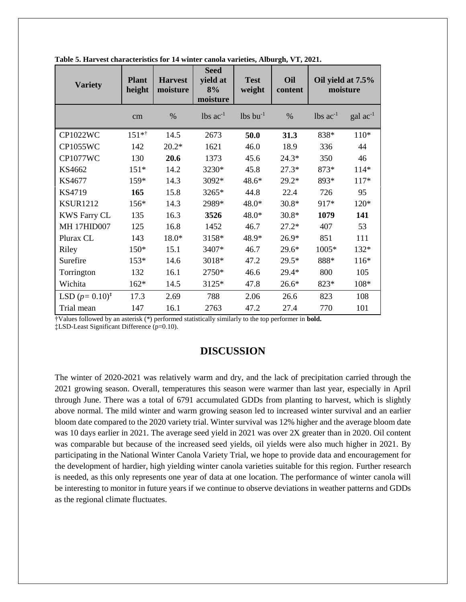| <b>Variety</b>      | <b>Plant</b><br>height | <b>Harvest</b><br>moisture | <b>Seed</b><br>yield at<br>8%<br>moisture | <b>Test</b><br>weight  | Oil<br>content | Oil yield at 7.5%<br>moisture |                   |
|---------------------|------------------------|----------------------------|-------------------------------------------|------------------------|----------------|-------------------------------|-------------------|
|                     | cm                     | $\%$                       | $lbs$ ac <sup>-1</sup>                    | $lbs$ bu <sup>-1</sup> | $\%$           | $\text{ lbs } ac^{-1}$        | $\rm gal~ac^{-1}$ |
| <b>CP1022WC</b>     | $151**$                | 14.5                       | 2673                                      | 50.0                   | 31.3           | 838*                          | $110*$            |
| <b>CP1055WC</b>     | 142                    | $20.2*$                    | 1621                                      | 46.0                   | 18.9           | 336                           | 44                |
| <b>CP1077WC</b>     | 130                    | 20.6                       | 1373                                      | 45.6                   | $24.3*$        | 350                           | 46                |
| KS4662              | $151*$                 | 14.2                       | 3230*                                     | 45.8                   | $27.3*$        | 873*                          | $114*$            |
| KS4677              | 159*                   | 14.3                       | 3092*                                     | 48.6*                  | $29.2*$        | 893*                          | $117*$            |
| KS4719              | 165                    | 15.8                       | 3265*                                     | 44.8                   | 22.4           | 726                           | 95                |
| <b>KSUR1212</b>     | 156*                   | 14.3                       | 2989*                                     | 48.0*                  | $30.8*$        | 917*                          | $120*$            |
| <b>KWS Farry CL</b> | 135                    | 16.3                       | 3526                                      | 48.0*                  | $30.8*$        | 1079                          | 141               |
| <b>MH 17HID007</b>  | 125                    | 16.8                       | 1452                                      | 46.7                   | $27.2*$        | 407                           | 53                |
| Plurax CL           | 143                    | 18.0*                      | 3158*                                     | 48.9*                  | $26.9*$        | 851                           | 111               |
| Riley               | $150*$                 | 15.1                       | 3407*                                     | 46.7                   | $29.6*$        | 1005*                         | 132*              |
| Surefire            | $153*$                 | 14.6                       | 3018*                                     | 47.2                   | $29.5*$        | 888*                          | $116*$            |
| Torrington          | 132                    | 16.1                       | 2750*                                     | 46.6                   | 29.4*          | 800                           | 105               |
| Wichita             | $162*$                 | 14.5                       | 3125*                                     | 47.8                   | $26.6*$        | 823*                          | $108*$            |
| LSD $(p=0.10)^*$    | 17.3                   | 2.69                       | 788                                       | 2.06                   | 26.6           | 823                           | 108               |
| Trial mean          | 147                    | 16.1                       | 2763                                      | 47.2                   | 27.4           | 770                           | 101               |

**Table 5. Harvest characteristics for 14 winter canola varieties, Alburgh, VT, 2021.**

†Values followed by an asterisk (\*) performed statistically similarly to the top performer in **bold.** ‡LSD-Least Significant Difference (p=0.10).

## **DISCUSSION**

The winter of 2020-2021 was relatively warm and dry, and the lack of precipitation carried through the 2021 growing season. Overall, temperatures this season were warmer than last year, especially in April through June. There was a total of 6791 accumulated GDDs from planting to harvest, which is slightly above normal. The mild winter and warm growing season led to increased winter survival and an earlier bloom date compared to the 2020 variety trial. Winter survival was 12% higher and the average bloom date was 10 days earlier in 2021. The average seed yield in 2021 was over 2X greater than in 2020. Oil content was comparable but because of the increased seed yields, oil yields were also much higher in 2021. By participating in the National Winter Canola Variety Trial, we hope to provide data and encouragement for the development of hardier, high yielding winter canola varieties suitable for this region. Further research is needed, as this only represents one year of data at one location. The performance of winter canola will be interesting to monitor in future years if we continue to observe deviations in weather patterns and GDDs as the regional climate fluctuates.